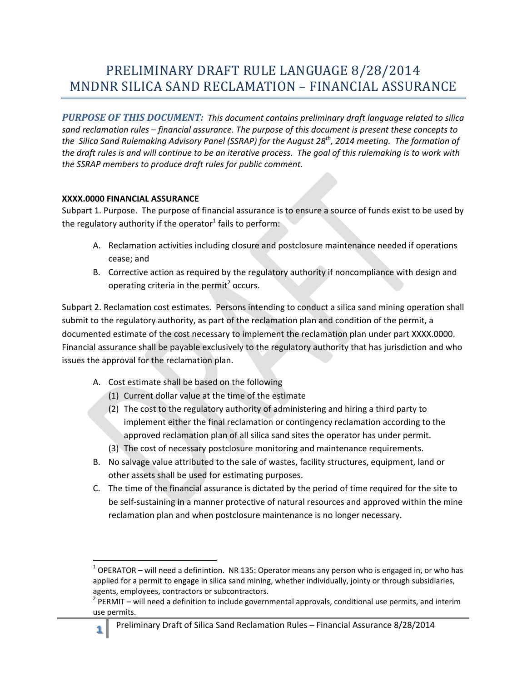## PRELIMINARY DRAFT RULE LANGUAGE 8/28/2014 MNDNR SILICA SAND RECLAMATION – FINANCIAL ASSURANCE

 *PURPOSE OF THIS DOCUMENT: This document contains preliminary draft language related to silica sand reclamation rules – financial assurance. The purpose of this document is present these concepts to the Silica Sand Rulemaking Advisory Panel (SSRAP) for the August 28th, 2014 meeting. The formation of the draft rules is and will continue to be an iterative process. The goal of this rulemaking is to work with the SSRAP members to produce draft rules for public comment.* 

## **XXXX.0000 FINANCIAL ASSURANCE**

**.** 

Subpart 1. Purpose. The purpose of financial assurance is to ensure a source of funds exist to be used by the regulatory authority if the operator<sup>1</sup> fails to perform:

- A. Reclamation activities including closure and postclosure maintenance needed if operations cease; and
- B. Corrective action as required by the regulatory authority if noncompliance with design and operating criteria in the permit<sup>2</sup> occurs.

Subpart 2. Reclamation cost estimates. Persons intending to conduct a silica sand mining operation shall submit to the regulatory authority, as part of the reclamation plan and condition of the permit, a documented estimate of the cost necessary to implement the reclamation plan under part XXXX.0000. Financial assurance shall be payable exclusively to the regulatory authority that has jurisdiction and who issues the approval for the reclamation plan.

- A. Cost estimate shall be based on the following
	- (1) Current dollar value at the time of the estimate
	- (2) The cost to the regulatory authority of administering and hiring a third party to implement either the final reclamation or contingency reclamation according to the approved reclamation plan of all silica sand sites the operator has under permit.
	- (3) The cost of necessary postclosure monitoring and maintenance requirements.
- B. No salvage value attributed to the sale of wastes, facility structures, equipment, land or other assets shall be used for estimating purposes.
- reclamation plan and when postclosure maintenance is no longer necessary. C. The time of the financial assurance is dictated by the period of time required for the site to be self-sustaining in a manner protective of natural resources and approved within the mine

 $1$  OPERATOR – will need a definintion. NR 135: Operator means any person who is engaged in, or who has applied for a permit to engage in silica sand mining, whether individually, jointy or through subsidiaries, agents, employees, contractors or subcontractors.

 $2$  PERMIT – will need a definition to include governmental approvals, conditional use permits, and interim use permits.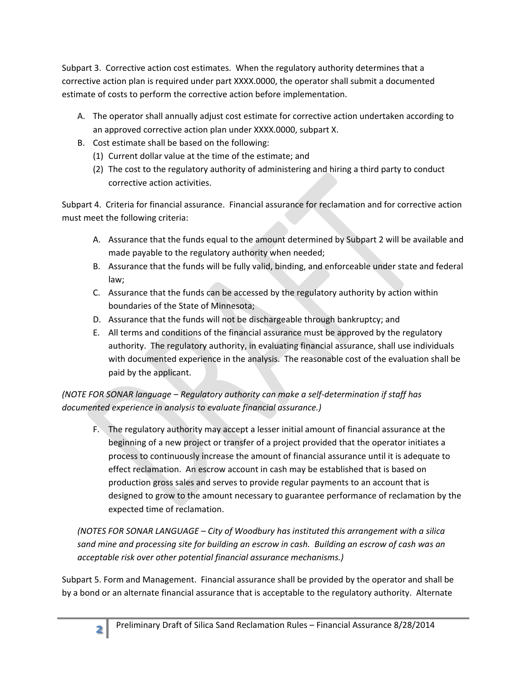Subpart 3. Corrective action cost estimates. When the regulatory authority determines that a corrective action plan is required under part XXXX.0000, the operator shall submit a documented estimate of costs to perform the corrective action before implementation.

- A. The operator shall annually adjust cost estimate for corrective action undertaken according to an approved corrective action plan under XXXX.0000, subpart X.
- B. Cost estimate shall be based on the following:
	- (1) Current dollar value at the time of the estimate; and
	- (2) The cost to the regulatory authority of administering and hiring a third party to conduct corrective action activities.

Subpart 4. Criteria for financial assurance. Financial assurance for reclamation and for corrective action must meet the following criteria:

- A. Assurance that the funds equal to the amount determined by Subpart 2 will be available and made payable to the regulatory authority when needed;
- B. Assurance that the funds will be fully valid, binding, and enforceable under state and federal law;
- C. Assurance that the funds can be accessed by the regulatory authority by action within boundaries of the State of Minnesota;
- D. Assurance that the funds will not be dischargeable through bankruptcy; and
- E. All terms and conditions of the financial assurance must be approved by the regulatory authority. The regulatory authority, in evaluating financial assurance, shall use individuals with documented experience in the analysis. The reasonable cost of the evaluation shall be paid by the applicant.

## *(NOTE FOR SONAR language – Regulatory authority can make a self-determination if staff has documented experience in analysis to evaluate financial assurance.)*

F. The regulatory authority may accept a lesser initial amount of financial assurance at the beginning of a new project or transfer of a project provided that the operator initiates a process to continuously increase the amount of financial assurance until it is adequate to effect reclamation. An escrow account in cash may be established that is based on production gross sales and serves to provide regular payments to an account that is designed to grow to the amount necessary to guarantee performance of reclamation by the expected time of reclamation.

*(NOTES FOR SONAR LANGUAGE – City of Woodbury has instituted this arrangement with a silica sand mine and processing site for building an escrow in cash. Building an escrow of cash was an acceptable risk over other potential financial assurance mechanisms.)* 

 by a bond or an alternate financial assurance that is acceptable to the regulatory authority. Alternate Subpart 5. Form and Management. Financial assurance shall be provided by the operator and shall be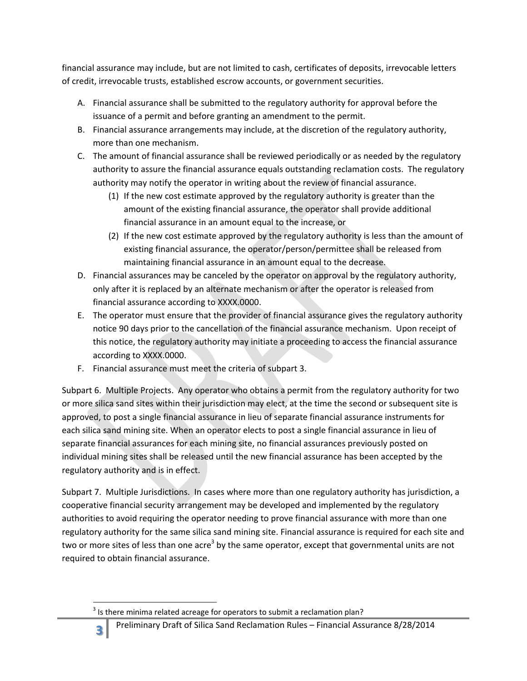financial assurance may include, but are not limited to cash, certificates of deposits, irrevocable letters of credit, irrevocable trusts, established escrow accounts, or government securities.

- A. Financial assurance shall be submitted to the regulatory authority for approval before the issuance of a permit and before granting an amendment to the permit.
- B. Financial assurance arrangements may include, at the discretion of the regulatory authority, more than one mechanism.
- C. The amount of financial assurance shall be reviewed periodically or as needed by the regulatory authority to assure the financial assurance equals outstanding reclamation costs. The regulatory authority may notify the operator in writing about the review of financial assurance.
	- (1) If the new cost estimate approved by the regulatory authority is greater than the amount of the existing financial assurance, the operator shall provide additional financial assurance in an amount equal to the increase, or
	- (2) If the new cost estimate approved by the regulatory authority is less than the amount of existing financial assurance, the operator/person/permittee shall be released from maintaining financial assurance in an amount equal to the decrease.
- only after it is replaced by an alternate mechanism or after the operator is released from financial assurance according to XXXX.0000. D. Financial assurances may be canceled by the operator on approval by the regulatory authority,
- E. The operator must ensure that the provider of financial assurance gives the regulatory authority notice 90 days prior to the cancellation of the financial assurance mechanism. Upon receipt of this notice, the regulatory authority may initiate a proceeding to access the financial assurance according to XXXX.0000.
- F. Financial assurance must meet the criteria of subpart 3.

individual mining sites shall be released until the new financial assurance has been accepted by the regulatory authority and is in effect. Subpart 6. Multiple Projects. Any operator who obtains a permit from the regulatory authority for two or more silica sand sites within their jurisdiction may elect, at the time the second or subsequent site is approved, to post a single financial assurance in lieu of separate financial assurance instruments for each silica sand mining site. When an operator elects to post a single financial assurance in lieu of separate financial assurances for each mining site, no financial assurances previously posted on

Subpart 7. Multiple Jurisdictions. In cases where more than one regulatory authority has jurisdiction, a cooperative financial security arrangement may be developed and implemented by the regulatory authorities to avoid requiring the operator needing to prove financial assurance with more than one regulatory authority for the same silica sand mining site. Financial assurance is required for each site and two or more sites of less than one acre<sup>3</sup> by the same operator, except that governmental units are not required to obtain financial assurance.

**<sup>.</sup>**  $3$  Is there minima related acreage for operators to submit a reclamation plan?